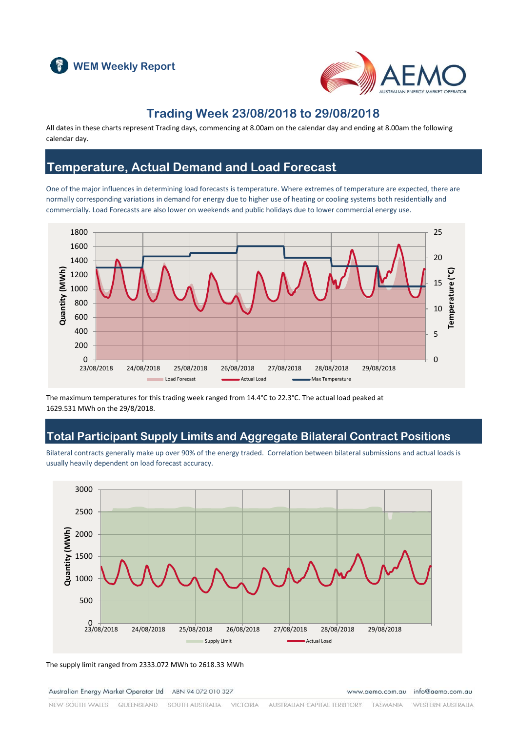



### **Trading Week 23/08/2018 to 29/08/2018**

All dates in these charts represent Trading days, commencing at 8.00am on the calendar day and ending at 8.00am the following calendar day.

#### **Temperature, Actual Demand and Load Forecast**

One of the major influences in determining load forecasts is temperature. Where extremes of temperature are expected, there are normally corresponding variations in demand for energy due to higher use of heating or cooling systems both residentially and commercially. Load Forecasts are also lower on weekends and public holidays due to lower commercial energy use.



The maximum temperatures for this trading week ranged from 14.4°C to 22.3°C. The actual load peaked at 1629.531 MWh on the 29/8/2018.

### **Total Participant Supply Limits and Aggregate Bilateral Contract Positions**

Bilateral contracts generally make up over 90% of the energy traded. Correlation between bilateral submissions and actual loads is usually heavily dependent on load forecast accuracy.



The supply limit ranged from 2333.072 MWh to 2618.33 MWh

Australian Energy Market Operator Ltd ABN 94 072 010 327

www.aemo.com.au info@aemo.com.au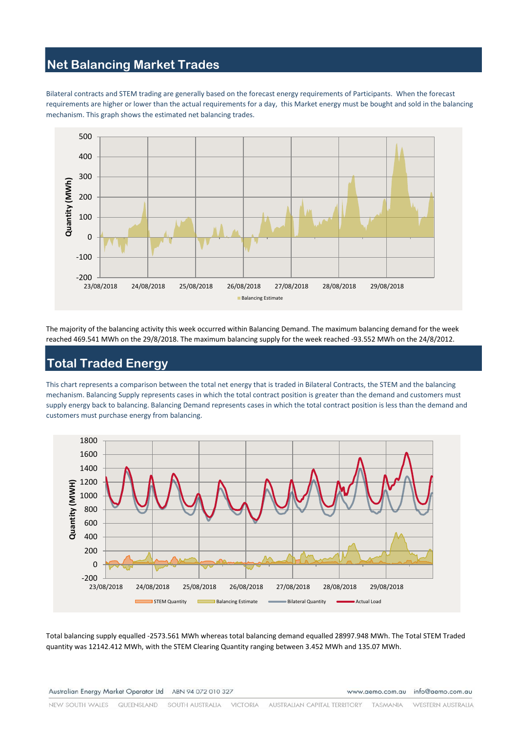# **Net Balancing Market Trades**

Bilateral contracts and STEM trading are generally based on the forecast energy requirements of Participants. When the forecast requirements are higher or lower than the actual requirements for a day, this Market energy must be bought and sold in the balancing mechanism. This graph shows the estimated net balancing trades.



The majority of the balancing activity this week occurred within Balancing Demand. The maximum balancing demand for the week reached 469.541 MWh on the 29/8/2018. The maximum balancing supply for the week reached -93.552 MWh on the 24/8/2012.

## **Total Traded Energy**

This chart represents a comparison between the total net energy that is traded in Bilateral Contracts, the STEM and the balancing mechanism. Balancing Supply represents cases in which the total contract position is greater than the demand and customers must supply energy back to balancing. Balancing Demand represents cases in which the total contract position is less than the demand and customers must purchase energy from balancing.



Total balancing supply equalled -2573.561 MWh whereas total balancing demand equalled 28997.948 MWh. The Total STEM Traded quantity was 12142.412 MWh, with the STEM Clearing Quantity ranging between 3.452 MWh and 135.07 MWh.